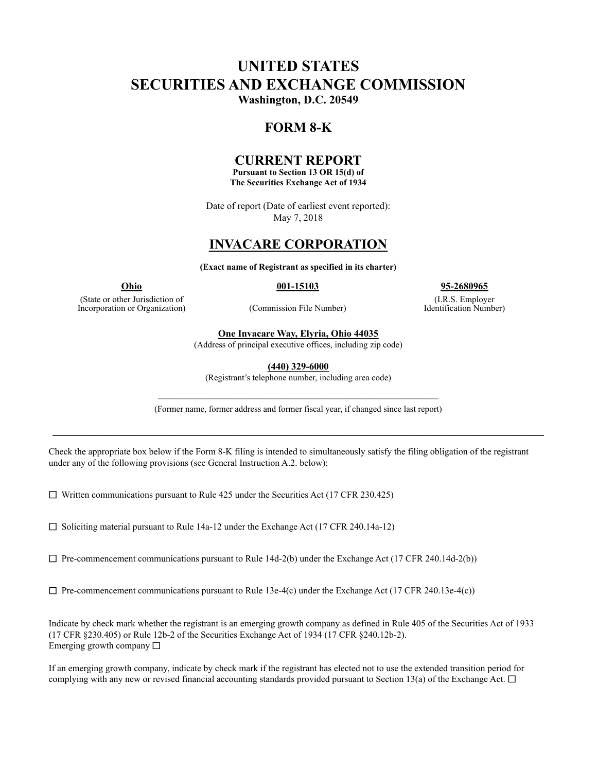# **UNITED STATES SECURITIES AND EXCHANGE COMMISSION Washington, D.C. 20549**

## **FORM 8-K**

## **CURRENT REPORT**

**Pursuant to Section 13 OR 15(d) of The Securities Exchange Act of 1934**

Date of report (Date of earliest event reported): May 7, 2018

# **INVACARE CORPORATION**

**(Exact name of Registrant as specified in its charter)**

(State or other Jurisdiction of Incorporation or Organization) (Commission File Number)

**Ohio 001-15103 95-2680965**

(I.R.S. Employer Identification Number)

**One Invacare Way, Elyria, Ohio 44035**

(Address of principal executive offices, including zip code)

**(440) 329-6000**

(Registrant's telephone number, including area code)

———————————————————————————————— (Former name, former address and former fiscal year, if changed since last report)

**————————————————————————————————————**

Check the appropriate box below if the Form 8-K filing is intended to simultaneously satisfy the filing obligation of the registrant under any of the following provisions (see General Instruction A.2. below):

 $\Box$  Written communications pursuant to Rule 425 under the Securities Act (17 CFR 230.425)

 $\Box$  Soliciting material pursuant to Rule 14a-12 under the Exchange Act (17 CFR 240.14a-12)

 $\Box$  Pre-commencement communications pursuant to Rule 14d-2(b) under the Exchange Act (17 CFR 240.14d-2(b))

 $\Box$  Pre-commencement communications pursuant to Rule 13e-4(c) under the Exchange Act (17 CFR 240.13e-4(c))

Indicate by check mark whether the registrant is an emerging growth company as defined in Rule 405 of the Securities Act of 1933 (17 CFR §230.405) or Rule 12b-2 of the Securities Exchange Act of 1934 (17 CFR §240.12b-2). Emerging growth company  $\Box$ 

If an emerging growth company, indicate by check mark if the registrant has elected not to use the extended transition period for complying with any new or revised financial accounting standards provided pursuant to Section 13(a) of the Exchange Act.  $\Box$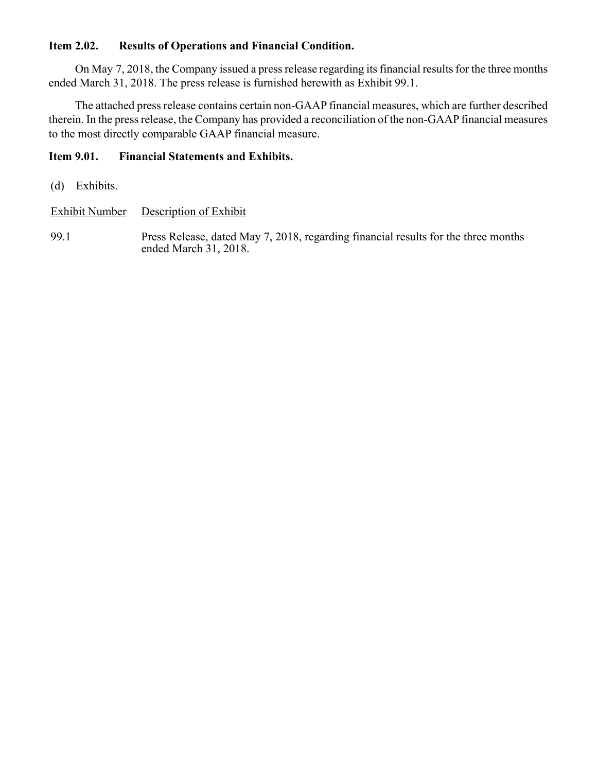# **Item 2.02. Results of Operations and Financial Condition.**

On May 7, 2018, the Company issued a press release regarding its financial results for the three months ended March 31, 2018. The press release is furnished herewith as Exhibit 99.1.

The attached press release contains certain non-GAAP financial measures, which are further described therein. In the press release, the Company has provided a reconciliation of the non-GAAP financial measures to the most directly comparable GAAP financial measure.

## **Item 9.01. Financial Statements and Exhibits.**

(d) Exhibits.

Exhibit Number Description of Exhibit

99.1 Press Release, dated May 7, 2018, regarding financial results for the three months ended March 31, 2018.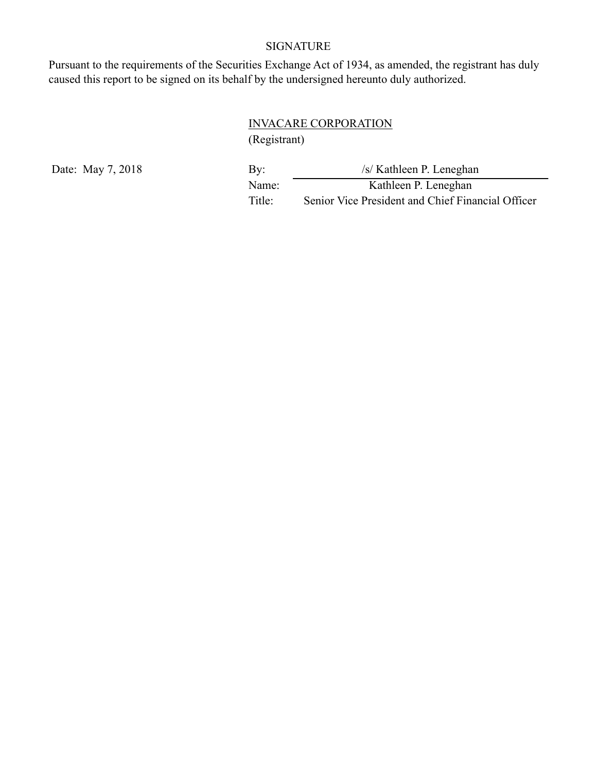# SIGNATURE

Pursuant to the requirements of the Securities Exchange Act of 1934, as amended, the registrant has duly caused this report to be signed on its behalf by the undersigned hereunto duly authorized.

# INVACARE CORPORATION

(Registrant)

Date: May 7, 2018 By: *by:* /s/ Kathleen P. Leneghan Name: Kathleen P. Leneghan Title: Senior Vice President and Chief Financial Officer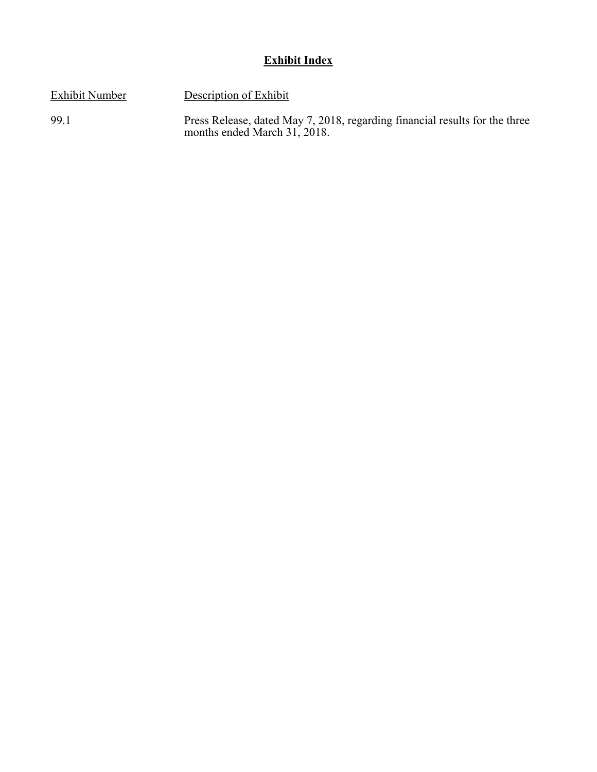# **Exhibit Index**

Exhibit Number Description of Exhibit

99.1 Press Release, dated May 7, 2018, regarding financial results for the three months ended March 31, 2018.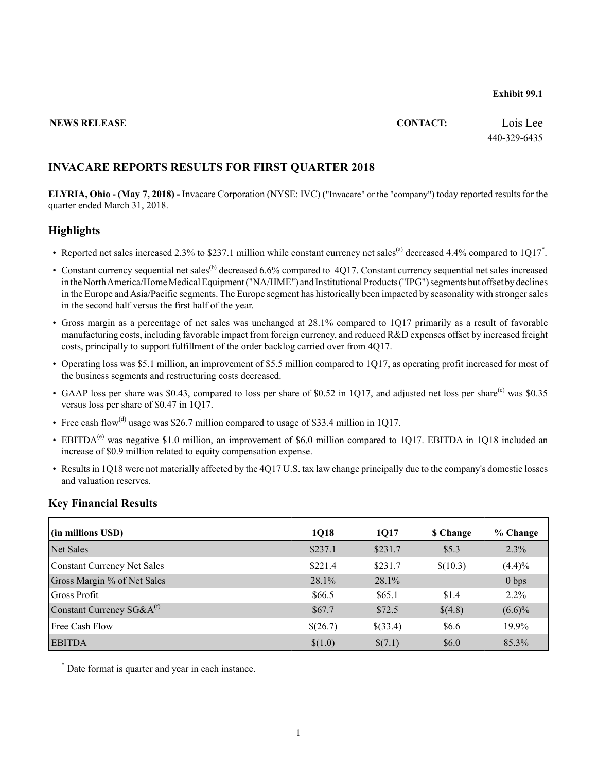#### **Exhibit 99.1**

#### **NEWS RELEASE CONTACT:** Lois Lee

440-329-6435

#### **INVACARE REPORTS RESULTS FOR FIRST QUARTER 2018**

**ELYRIA, Ohio - (May 7, 2018) -** Invacare Corporation (NYSE: IVC) ("Invacare" or the "company") today reported results for the quarter ended March 31, 2018.

#### **Highlights**

- Reported net sales increased 2.3% to \$237.1 million while constant currency net sales<sup>(a)</sup> decreased 4.4% compared to  $1Q17$ <sup>\*</sup>.
- Constant currency sequential net sales<sup>(b)</sup> decreased 6.6% compared to 4017. Constant currency sequential net sales increased in the North America/Home Medical Equipment ("NA/HME") and Institutional Products ("IPG") segments but offset by declines in the Europe and Asia/Pacific segments. The Europe segment has historically been impacted by seasonality with stronger sales in the second half versus the first half of the year.
- Gross margin as a percentage of net sales was unchanged at 28.1% compared to 1Q17 primarily as a result of favorable manufacturing costs, including favorable impact from foreign currency, and reduced R&D expenses offset by increased freight costs, principally to support fulfillment of the order backlog carried over from 4Q17.
- Operating loss was \$5.1 million, an improvement of \$5.5 million compared to 1Q17, as operating profit increased for most of the business segments and restructuring costs decreased.
- GAAP loss per share was \$0.43, compared to loss per share of \$0.52 in 1Q17, and adjusted net loss per share<sup>(c)</sup> was \$0.35 versus loss per share of \$0.47 in 1Q17.
- Free cash flow<sup>(d)</sup> usage was \$26.7 million compared to usage of \$33.4 million in 1Q17.
- EBITDA<sup>(e)</sup> was negative \$1.0 million, an improvement of \$6.0 million compared to 1Q17. EBITDA in 1Q18 included an increase of \$0.9 million related to equity compensation expense.
- Results in 1Q18 were not materially affected by the 4Q17 U.S. tax law change principally due to the company's domestic losses and valuation reserves.

#### **Key Financial Results**

| (in millions USD)                     | 1Q18     | 1Q17     | \$ Change | % Change         |
|---------------------------------------|----------|----------|-----------|------------------|
| Net Sales                             | \$237.1  | \$231.7  | \$5.3     | 2.3%             |
| Constant Currency Net Sales           | \$221.4  | \$231.7  | \$(10.3)  | (4.4)%           |
| Gross Margin % of Net Sales           | 28.1%    | $28.1\%$ |           | 0 <sub>bps</sub> |
| Gross Profit                          | \$66.5   | \$65.1   | \$1.4     | $2.2\%$          |
| Constant Currency SG&A <sup>(f)</sup> | \$67.7   | \$72.5   | \$(4.8)   | $(6.6)\%$        |
| <b>Free Cash Flow</b>                 | \$(26.7) | \$(33.4) | \$6.6     | 19.9%            |
| <b>EBITDA</b>                         | \$(1.0)  | \$(7.1)  | \$6.0     | 85.3%            |

\* Date format is quarter and year in each instance.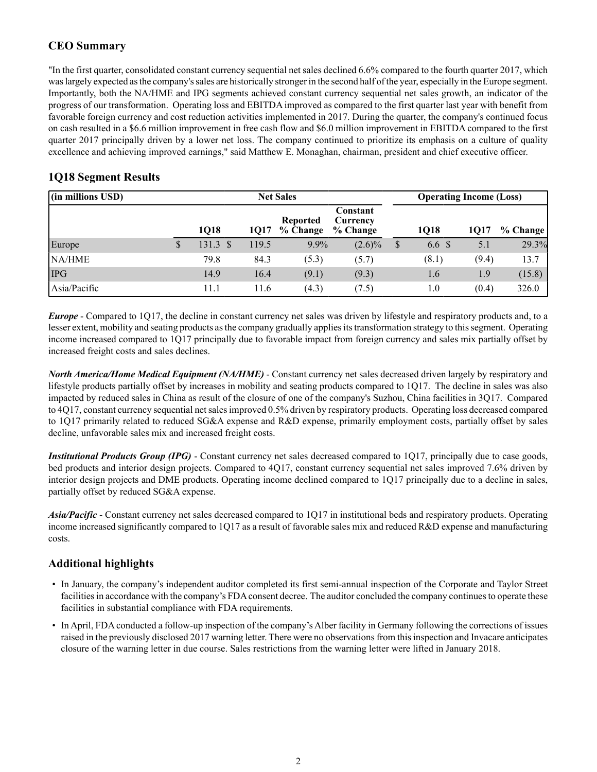## **CEO Summary**

"In the first quarter, consolidated constant currency sequential net sales declined 6.6% compared to the fourth quarter 2017, which was largely expected as the company's sales are historically stronger in the second half of the year, especially in the Europe segment. Importantly, both the NA/HME and IPG segments achieved constant currency sequential net sales growth, an indicator of the progress of our transformation. Operating loss and EBITDA improved as compared to the first quarter last year with benefit from favorable foreign currency and cost reduction activities implemented in 2017. During the quarter, the company's continued focus on cash resulted in a \$6.6 million improvement in free cash flow and \$6.0 million improvement in EBITDA compared to the first quarter 2017 principally driven by a lower net loss. The company continued to prioritize its emphasis on a culture of quality excellence and achieving improved earnings," said Matthew E. Monaghan, chairman, president and chief executive officer.

| (in millions USD) | <b>Net Sales</b> |                     |       |                             |                                  |                           |                  | <b>Operating Income (Loss)</b> |          |  |
|-------------------|------------------|---------------------|-------|-----------------------------|----------------------------------|---------------------------|------------------|--------------------------------|----------|--|
|                   |                  | 1018                | 1017  | <b>Reported</b><br>% Change | Constant<br>Currency<br>% Change |                           | 1018             | 1017                           | % Change |  |
| Europe            |                  | $131.3 \text{ }$ \$ | 119.5 | $9.9\%$                     | $(2.6)\%$                        | $\boldsymbol{\mathsf{S}}$ | 6.6 <sup>°</sup> | 5.1                            | 29.3%    |  |
| NA/HME            |                  | 79.8                | 84.3  | (5.3)                       | (5.7)                            |                           | (8.1)            | (9.4)                          | 13.7     |  |
| <b>IPG</b>        |                  | 14.9                | 16.4  | (9.1)                       | (9.3)                            |                           | 1.6              | 1.9                            | (15.8)   |  |
| Asia/Pacific      |                  | 11.1                | 11.6  | (4.3)                       | (7.5)                            |                           | 1.0              | (0.4)                          | 326.0    |  |

## **1Q18 Segment Results**

*Europe* - Compared to 1Q17, the decline in constant currency net sales was driven by lifestyle and respiratory products and, to a lesser extent, mobility and seating products as the company gradually applies its transformation strategy to this segment. Operating income increased compared to 1Q17 principally due to favorable impact from foreign currency and sales mix partially offset by increased freight costs and sales declines.

*North America/Home Medical Equipment (NA/HME)* - Constant currency net sales decreased driven largely by respiratory and lifestyle products partially offset by increases in mobility and seating products compared to 1Q17. The decline in sales was also impacted by reduced sales in China as result of the closure of one of the company's Suzhou, China facilities in 3Q17. Compared to 4Q17, constant currency sequential net sales improved 0.5% driven by respiratory products. Operating loss decreased compared to 1Q17 primarily related to reduced SG&A expense and R&D expense, primarily employment costs, partially offset by sales decline, unfavorable sales mix and increased freight costs.

*Institutional Products Group (IPG)* - Constant currency net sales decreased compared to 1Q17, principally due to case goods, bed products and interior design projects. Compared to 4Q17, constant currency sequential net sales improved 7.6% driven by interior design projects and DME products. Operating income declined compared to 1Q17 principally due to a decline in sales, partially offset by reduced SG&A expense.

*Asia/Pacific* - Constant currency net sales decreased compared to 1Q17 in institutional beds and respiratory products. Operating income increased significantly compared to 1Q17 as a result of favorable sales mix and reduced R&D expense and manufacturing costs.

## **Additional highlights**

- In January, the company's independent auditor completed its first semi-annual inspection of the Corporate and Taylor Street facilities in accordance with the company's FDA consent decree. The auditor concluded the company continues to operate these facilities in substantial compliance with FDA requirements.
- In April, FDAconducted a follow-up inspection of the company's Alber facility in Germany following the corrections of issues raised in the previously disclosed 2017 warning letter. There were no observations from this inspection and Invacare anticipates closure of the warning letter in due course. Sales restrictions from the warning letter were lifted in January 2018.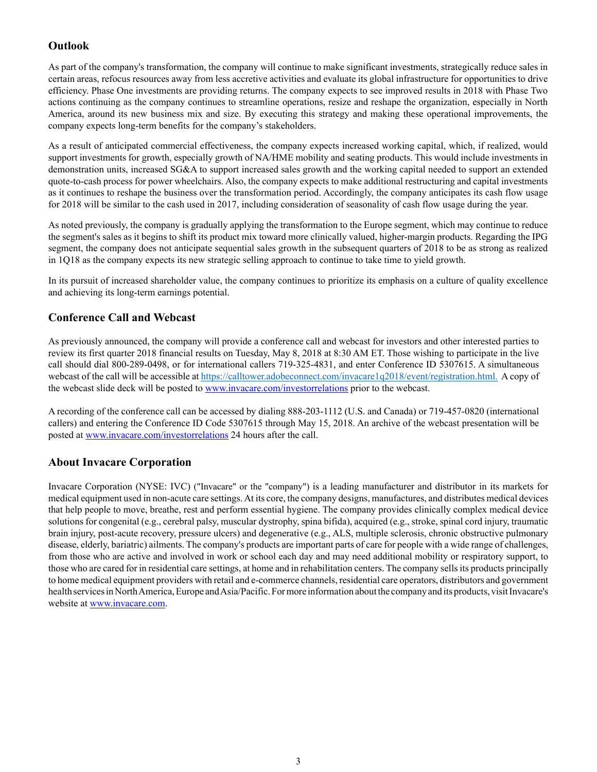## **Outlook**

As part of the company's transformation, the company will continue to make significant investments, strategically reduce sales in certain areas, refocus resources away from less accretive activities and evaluate its global infrastructure for opportunities to drive efficiency. Phase One investments are providing returns. The company expects to see improved results in 2018 with Phase Two actions continuing as the company continues to streamline operations, resize and reshape the organization, especially in North America, around its new business mix and size. By executing this strategy and making these operational improvements, the company expects long-term benefits for the company's stakeholders.

As a result of anticipated commercial effectiveness, the company expects increased working capital, which, if realized, would support investments for growth, especially growth of NA/HME mobility and seating products. This would include investments in demonstration units, increased SG&A to support increased sales growth and the working capital needed to support an extended quote-to-cash process for power wheelchairs. Also, the company expects to make additional restructuring and capital investments as it continues to reshape the business over the transformation period. Accordingly, the company anticipates its cash flow usage for 2018 will be similar to the cash used in 2017, including consideration of seasonality of cash flow usage during the year.

As noted previously, the company is gradually applying the transformation to the Europe segment, which may continue to reduce the segment's sales as it begins to shift its product mix toward more clinically valued, higher-margin products. Regarding the IPG segment, the company does not anticipate sequential sales growth in the subsequent quarters of 2018 to be as strong as realized in 1Q18 as the company expects its new strategic selling approach to continue to take time to yield growth.

In its pursuit of increased shareholder value, the company continues to prioritize its emphasis on a culture of quality excellence and achieving its long-term earnings potential.

## **Conference Call and Webcast**

As previously announced, the company will provide a conference call and webcast for investors and other interested parties to review its first quarter 2018 financial results on Tuesday, May 8, 2018 at 8:30 AM ET. Those wishing to participate in the live call should dial 800-289-0498, or for international callers 719-325-4831, and enter Conference ID 5307615. A simultaneous webcast of the call will be accessible at https://calltower.adobeconnect.com/invacare1q2018/event/registration.html. A copy of the webcast slide deck will be posted to www.invacare.com/investorrelations prior to the webcast.

A recording of the conference call can be accessed by dialing 888-203-1112 (U.S. and Canada) or 719-457-0820 (international callers) and entering the Conference ID Code 5307615 through May 15, 2018. An archive of the webcast presentation will be posted at www.invacare.com/investorrelations 24 hours after the call.

## **About Invacare Corporation**

Invacare Corporation (NYSE: IVC) ("Invacare" or the "company") is a leading manufacturer and distributor in its markets for medical equipment used in non-acute care settings. At its core, the company designs, manufactures, and distributes medical devices that help people to move, breathe, rest and perform essential hygiene. The company provides clinically complex medical device solutions for congenital (e.g., cerebral palsy, muscular dystrophy, spina bifida), acquired (e.g., stroke, spinal cord injury, traumatic brain injury, post-acute recovery, pressure ulcers) and degenerative (e.g., ALS, multiple sclerosis, chronic obstructive pulmonary disease, elderly, bariatric) ailments. The company's products are important parts of care for people with a wide range of challenges, from those who are active and involved in work or school each day and may need additional mobility or respiratory support, to those who are cared for in residential care settings, at home and in rehabilitation centers. The company sells its products principally to home medical equipment providers with retail and e-commerce channels, residential care operators, distributors and government health services in North America, Europe and Asia/Pacific. For more information about the company and its products, visit Invacare's website at www.invacare.com.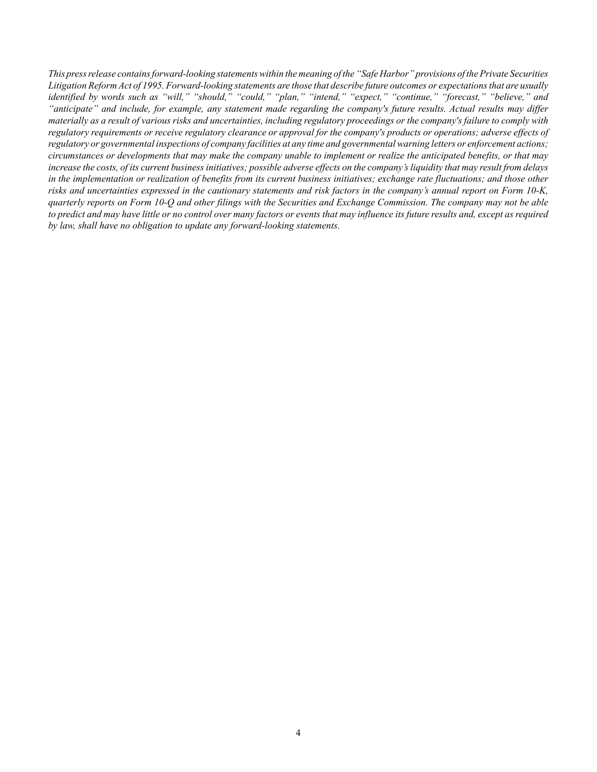*This press release contains forward-looking statements within the meaning of the "Safe Harbor" provisions of the Private Securities Litigation Reform Act of 1995. Forward-looking statements are those that describe future outcomes or expectations that are usually identified by words such as "will," "should," "could," "plan," "intend," "expect," "continue," "forecast," "believe," and "anticipate" and include, for example, any statement made regarding the company's future results. Actual results may differ materially as a result of various risks and uncertainties, including regulatory proceedings or the company's failure to comply with regulatory requirements or receive regulatory clearance or approval for the company's products or operations; adverse effects of regulatory or governmental inspections of company facilities at any time and governmental warning letters or enforcement actions; circumstances or developments that may make the company unable to implement or realize the anticipated benefits, or that may increase the costs, of its current business initiatives; possible adverse effects on the company's liquidity that may result from delays in the implementation or realization of benefits from its current business initiatives; exchange rate fluctuations; and those other risks and uncertainties expressed in the cautionary statements and risk factors in the company's annual report on Form 10-K, quarterly reports on Form 10-Q and other filings with the Securities and Exchange Commission. The company may not be able to predict and may have little or no control over many factors or events that may influence its future results and, except as required by law, shall have no obligation to update any forward-looking statements.*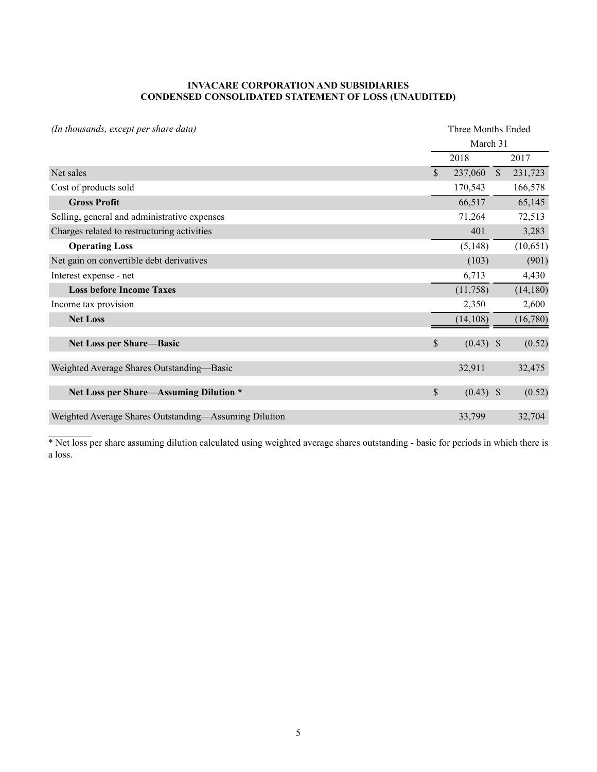#### **INVACARE CORPORATION AND SUBSIDIARIES CONDENSED CONSOLIDATED STATEMENT OF LOSS (UNAUDITED)**

| (In thousands, except per share data)                 |               |             | Three Months Ended |           |  |  |  |  |  |  |
|-------------------------------------------------------|---------------|-------------|--------------------|-----------|--|--|--|--|--|--|
|                                                       |               | March 31    |                    |           |  |  |  |  |  |  |
|                                                       |               | 2018        |                    | 2017      |  |  |  |  |  |  |
| Net sales                                             | \$            | 237,060     | $\mathcal{S}$      | 231,723   |  |  |  |  |  |  |
| Cost of products sold                                 |               | 170,543     |                    | 166,578   |  |  |  |  |  |  |
| <b>Gross Profit</b>                                   |               | 66,517      |                    | 65,145    |  |  |  |  |  |  |
| Selling, general and administrative expenses          |               | 71,264      |                    | 72,513    |  |  |  |  |  |  |
| Charges related to restructuring activities           |               | 401         |                    | 3,283     |  |  |  |  |  |  |
| <b>Operating Loss</b>                                 |               | (5,148)     |                    | (10,651)  |  |  |  |  |  |  |
| Net gain on convertible debt derivatives              |               | (103)       |                    | (901)     |  |  |  |  |  |  |
| Interest expense - net                                |               | 6,713       |                    | 4,430     |  |  |  |  |  |  |
| <b>Loss before Income Taxes</b>                       |               | (11,758)    |                    | (14, 180) |  |  |  |  |  |  |
| Income tax provision                                  |               | 2,350       |                    | 2,600     |  |  |  |  |  |  |
| <b>Net Loss</b>                                       |               | (14, 108)   |                    | (16,780)  |  |  |  |  |  |  |
| Net Loss per Share-Basic                              | $\mathcal{S}$ | $(0.43)$ \$ |                    | (0.52)    |  |  |  |  |  |  |
| Weighted Average Shares Outstanding—Basic             |               | 32,911      |                    | 32,475    |  |  |  |  |  |  |
| Net Loss per Share-Assuming Dilution *                | $\mathbb{S}$  | $(0.43)$ \$ |                    | (0.52)    |  |  |  |  |  |  |
| Weighted Average Shares Outstanding-Assuming Dilution |               | 33,799      |                    | 32,704    |  |  |  |  |  |  |

\* Net loss per share assuming dilution calculated using weighted average shares outstanding - basic for periods in which there is a loss.

 $\mathcal{L}_\text{max}$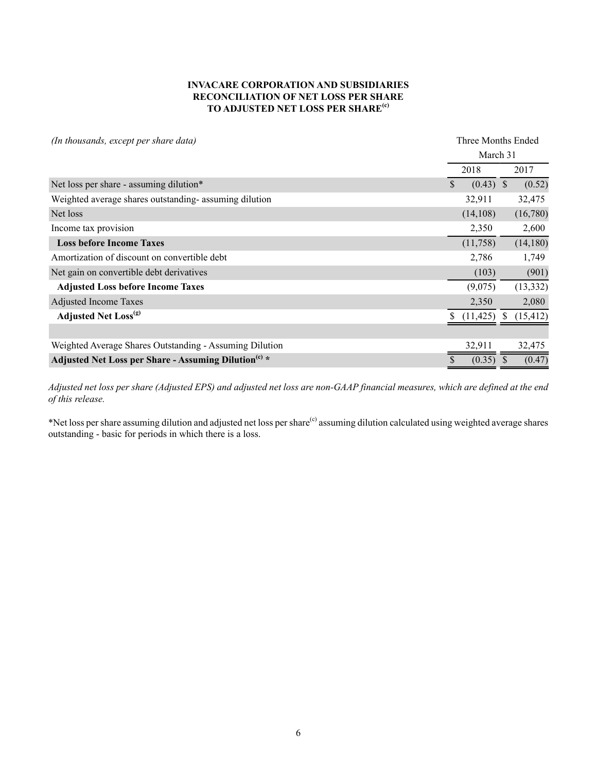#### **INVACARE CORPORATION AND SUBSIDIARIES RECONCILIATION OF NET LOSS PER SHARE TO ADJUSTED NET LOSS PER SHARE(c)**

| (In thousands, except per share data)                            | Three Months Ended                    |
|------------------------------------------------------------------|---------------------------------------|
|                                                                  | March 31                              |
|                                                                  | 2018<br>2017                          |
| Net loss per share - assuming dilution*                          | $(0.43)$ \$<br>(0.52)<br>$\mathbb{S}$ |
| Weighted average shares outstanding-assuming dilution            | 32,911<br>32,475                      |
| Net loss                                                         | (16,780)<br>(14, 108)                 |
| Income tax provision                                             | 2,350<br>2,600                        |
| <b>Loss before Income Taxes</b>                                  | (14, 180)<br>(11,758)                 |
| Amortization of discount on convertible debt                     | 1,749<br>2,786                        |
| Net gain on convertible debt derivatives                         | (901)<br>(103)                        |
| <b>Adjusted Loss before Income Taxes</b>                         | (13, 332)<br>(9,075)                  |
| <b>Adjusted Income Taxes</b>                                     | 2,350<br>2,080                        |
| <b>Adjusted Net Loss</b> <sup>(g)</sup>                          | (15, 412)<br>(11, 425)                |
|                                                                  |                                       |
| Weighted Average Shares Outstanding - Assuming Dilution          | 32,911<br>32,475                      |
| Adjusted Net Loss per Share - Assuming Dilution <sup>(c)</sup> * | $(0.35)$ \$<br>(0.47)                 |

*Adjusted net loss per share (Adjusted EPS) and adjusted net loss are non-GAAP financial measures, which are defined at the end of this release.* 

\*Net loss per share assuming dilution and adjusted net loss per share<sup>(c)</sup> assuming dilution calculated using weighted average shares outstanding - basic for periods in which there is a loss.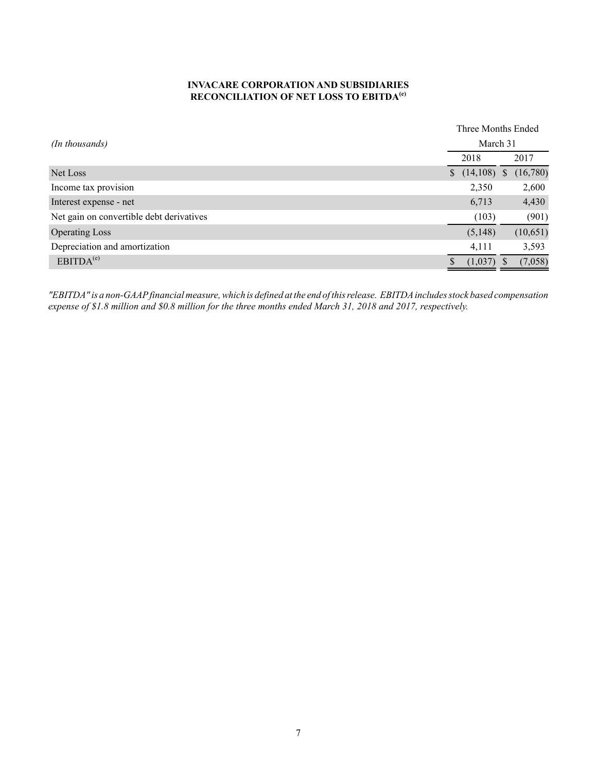#### **INVACARE CORPORATION AND SUBSIDIARIES RECONCILIATION OF NET LOSS TO EBITDA(e)**

|                                          |  |          | Three Months Ended |          |  |
|------------------------------------------|--|----------|--------------------|----------|--|
| (In thousands)                           |  | March 31 |                    |          |  |
|                                          |  | 2018     |                    | 2017     |  |
| Net Loss                                 |  | (14,108) | <sup>S</sup>       | (16,780) |  |
| Income tax provision                     |  | 2,350    |                    | 2,600    |  |
| Interest expense - net                   |  | 6,713    |                    | 4,430    |  |
| Net gain on convertible debt derivatives |  | (103)    |                    | (901)    |  |
| <b>Operating Loss</b>                    |  | (5,148)  |                    | (10,651) |  |
| Depreciation and amortization            |  | 4,111    |                    | 3,593    |  |
| EBITDA <sup>(e)</sup>                    |  | (1,037)  |                    | (7,058)  |  |

*"EBITDA" is a non-GAAPfinancial measure, which is defined at the end of this release. EBITDAincludes stock based compensation expense of \$1.8 million and \$0.8 million for the three months ended March 31, 2018 and 2017, respectively.*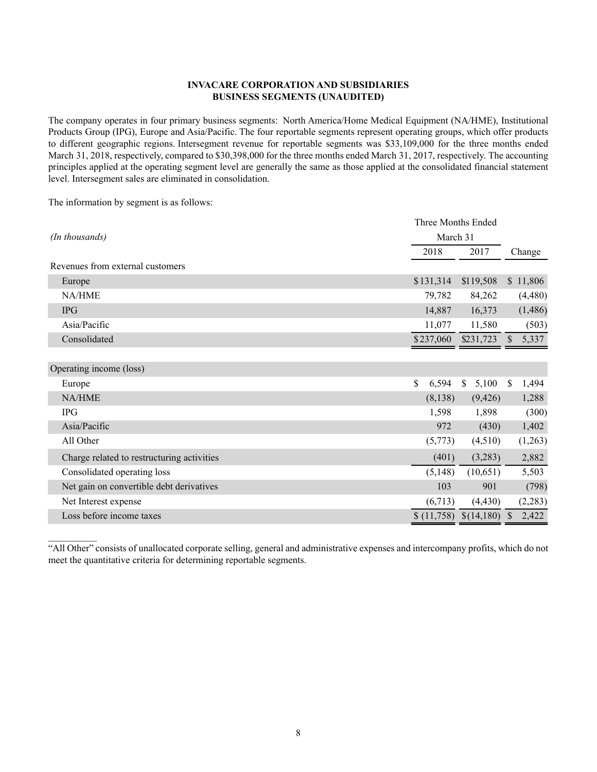#### **INVACARE CORPORATION AND SUBSIDIARIES BUSINESS SEGMENTS (UNAUDITED)**

The company operates in four primary business segments: North America/Home Medical Equipment (NA/HME), Institutional Products Group (IPG), Europe and Asia/Pacific. The four reportable segments represent operating groups, which offer products to different geographic regions. Intersegment revenue for reportable segments was \$33,109,000 for the three months ended March 31, 2018, respectively, compared to \$30,398,000 for the three months ended March 31, 2017, respectively. The accounting principles applied at the operating segment level are generally the same as those applied at the consolidated financial statement level. Intersegment sales are eliminated in consolidation.

The information by segment is as follows:

 $\mathcal{L}_\text{max}$ 

|                                            |             | Three Months Ended |                        |  |  |  |  |  |
|--------------------------------------------|-------------|--------------------|------------------------|--|--|--|--|--|
| (In thousands)                             |             | March 31           |                        |  |  |  |  |  |
|                                            | 2018        | 2017               | Change                 |  |  |  |  |  |
| Revenues from external customers           |             |                    |                        |  |  |  |  |  |
| Europe                                     | \$131,314   | \$119,508          | \$11,806               |  |  |  |  |  |
| NA/HME                                     | 79,782      | 84,262             | (4,480)                |  |  |  |  |  |
| <b>IPG</b>                                 | 14,887      | 16,373             | (1, 486)               |  |  |  |  |  |
| Asia/Pacific                               | 11,077      | 11,580             | (503)                  |  |  |  |  |  |
| Consolidated                               | \$237,060   | \$231,723          | 5,337                  |  |  |  |  |  |
|                                            |             |                    |                        |  |  |  |  |  |
| Operating income (loss)                    |             |                    |                        |  |  |  |  |  |
| Europe                                     | \$<br>6,594 | \$<br>5,100        | 1,494<br><sup>\$</sup> |  |  |  |  |  |
| NA/HME                                     | (8,138)     | (9,426)            | 1,288                  |  |  |  |  |  |
| <b>IPG</b>                                 | 1,598       | 1,898              | (300)                  |  |  |  |  |  |
| Asia/Pacific                               | 972         | (430)              | 1,402                  |  |  |  |  |  |
| All Other                                  | (5,773)     | (4,510)            | (1,263)                |  |  |  |  |  |
| Charge related to restructuring activities | (401)       | (3,283)            | 2,882                  |  |  |  |  |  |
| Consolidated operating loss                | (5,148)     | (10,651)           | 5,503                  |  |  |  |  |  |
| Net gain on convertible debt derivatives   | 103         | 901                | (798)                  |  |  |  |  |  |
| Net Interest expense                       | (6,713)     | (4, 430)           | (2,283)                |  |  |  |  |  |
| Loss before income taxes                   | \$(11,758)  | \$(14,180)         | 2,422                  |  |  |  |  |  |
|                                            |             |                    |                        |  |  |  |  |  |

"All Other" consists of unallocated corporate selling, general and administrative expenses and intercompany profits, which do not meet the quantitative criteria for determining reportable segments.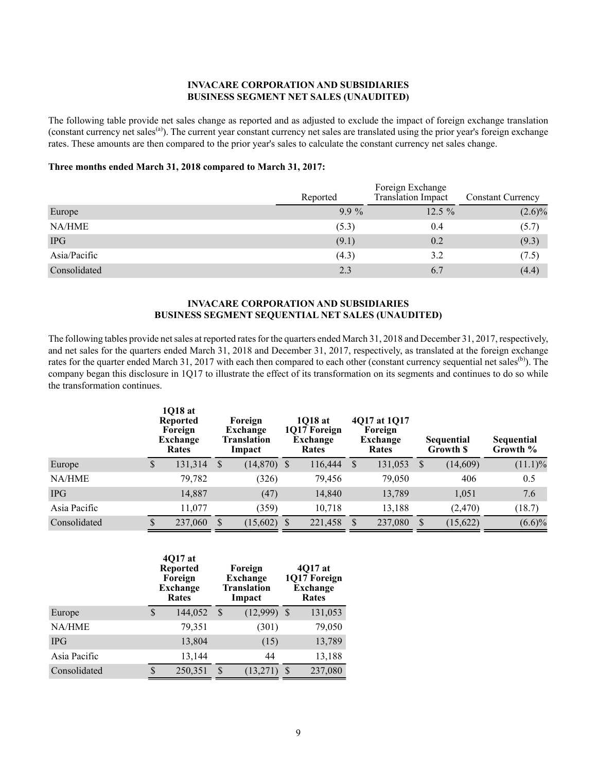#### **INVACARE CORPORATION AND SUBSIDIARIES BUSINESS SEGMENT NET SALES (UNAUDITED)**

The following table provide net sales change as reported and as adjusted to exclude the impact of foreign exchange translation (constant currency net sales<sup>(a)</sup>). The current year constant currency net sales are translated using the prior year's foreign exchange rates. These amounts are then compared to the prior year's sales to calculate the constant currency net sales change.

#### **Three months ended March 31, 2018 compared to March 31, 2017:**

|              | Reported | Foreign Exchange<br>Translation Impact | <b>Constant Currency</b> |  |  |
|--------------|----------|----------------------------------------|--------------------------|--|--|
| Europe       | $9.9\%$  | $12.5\%$                               | $(2.6)\%$                |  |  |
| NA/HME       | (5.3)    | 0.4                                    | (5.7)                    |  |  |
| <b>IPG</b>   | (9.1)    | 0.2                                    | (9.3)                    |  |  |
| Asia/Pacific | (4.3)    | 3.2                                    | (7.5)                    |  |  |
| Consolidated | 2.3      | 6.7                                    | (4.4)                    |  |  |

#### **INVACARE CORPORATION AND SUBSIDIARIES BUSINESS SEGMENT SEQUENTIAL NET SALES (UNAUDITED)**

The following tables provide net sales at reported rates for the quarters ended March 31, 2018 and December 31, 2017, respectively, and net sales for the quarters ended March 31, 2018 and December 31, 2017, respectively, as translated at the foreign exchange rates for the quarter ended March 31, 2017 with each then compared to each other (constant currency sequential net sales<sup>(b)</sup>). The company began this disclosure in 1Q17 to illustrate the effect of its transformation on its segments and continues to do so while the transformation continues.

|              |   | 1018 at<br><b>Reported</b><br>Foreign<br>Exchange<br>Rates |               | Foreign<br>Exchange<br>Translation<br>Impact |  | 1018 at<br>1017 Foreign<br>Exchange<br>Rates |               | 4017 at 1017<br>Foreign<br>Exchange<br><b>Sequential</b><br>Growth \$<br>Rates |               |           | Sequential<br>Growth % |
|--------------|---|------------------------------------------------------------|---------------|----------------------------------------------|--|----------------------------------------------|---------------|--------------------------------------------------------------------------------|---------------|-----------|------------------------|
| Europe       | S | 131,314                                                    | <sup>S</sup>  | $(14,870)$ \$                                |  | 116,444                                      | <sup>S</sup>  | 131,053                                                                        | <sup>S</sup>  | (14,609)  | $(11.1)\%$             |
| NA/HME       |   | 79,782                                                     |               | (326)                                        |  | 79,456                                       |               | 79,050                                                                         |               | 406       | 0.5                    |
| <b>IPG</b>   |   | 14,887                                                     |               | (47)                                         |  | 14,840                                       |               | 13,789                                                                         |               | 1,051     | 7.6                    |
| Asia Pacific |   | 11.077                                                     |               | (359)                                        |  | 10.718                                       |               | 13,188                                                                         |               | (2,470)   | (18.7)                 |
| Consolidated |   | 237,060                                                    | <sup>\$</sup> | $(15,602)$ \$                                |  | 221,458                                      | <sup>\$</sup> | 237,080                                                                        | <sup>\$</sup> | (15, 622) | $(6.6)\%$              |

|              |    | 4017 at<br><b>Reported</b><br>Foreign<br><b>Exchange</b><br><b>Rates</b> |    | Foreign<br><b>Exchange</b><br><b>Translation</b><br>Impact | 4Q17 at<br>1Q17 Foreign<br><b>Exchange</b><br><b>Rates</b> |         |  |  |
|--------------|----|--------------------------------------------------------------------------|----|------------------------------------------------------------|------------------------------------------------------------|---------|--|--|
| Europe       | \$ | 144,052                                                                  | \$ | (12,999)                                                   | $\mathcal{S}$                                              | 131,053 |  |  |
| NA/HME       |    | 79,351                                                                   |    | (301)                                                      |                                                            | 79,050  |  |  |
| <b>IPG</b>   |    | 13,804                                                                   |    | (15)                                                       |                                                            | 13,789  |  |  |
| Asia Pacific |    | 13,144                                                                   |    | 44                                                         |                                                            | 13,188  |  |  |
| Consolidated | S  | 250,351                                                                  | S. | (13,271)                                                   | \$                                                         | 237,080 |  |  |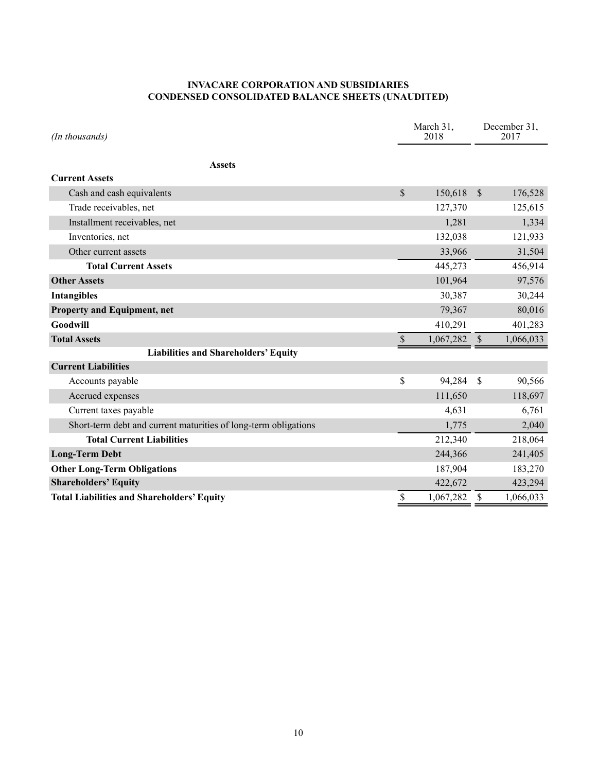#### **INVACARE CORPORATION AND SUBSIDIARIES CONDENSED CONSOLIDATED BALANCE SHEETS (UNAUDITED)**

| (In thousands)                                                  | March 31,<br>2018 |           |               | December 31,<br>2017 |
|-----------------------------------------------------------------|-------------------|-----------|---------------|----------------------|
| <b>Assets</b>                                                   |                   |           |               |                      |
| <b>Current Assets</b>                                           |                   |           |               |                      |
| Cash and cash equivalents                                       | \$                | 150,618   | $\mathcal{S}$ | 176,528              |
| Trade receivables, net                                          |                   | 127,370   |               | 125,615              |
| Installment receivables, net                                    |                   | 1,281     |               | 1,334                |
| Inventories, net                                                |                   | 132,038   |               | 121,933              |
| Other current assets                                            |                   | 33,966    |               | 31,504               |
| <b>Total Current Assets</b>                                     |                   | 445,273   |               | 456,914              |
| <b>Other Assets</b>                                             |                   | 101,964   |               | 97,576               |
| <b>Intangibles</b>                                              |                   | 30,387    |               | 30,244               |
| <b>Property and Equipment, net</b>                              |                   | 79,367    |               | 80,016               |
| Goodwill                                                        |                   | 410,291   |               | 401,283              |
| <b>Total Assets</b>                                             | \$                | 1,067,282 | $\sqrt{S}$    | 1,066,033            |
| <b>Liabilities and Shareholders' Equity</b>                     |                   |           |               |                      |
| <b>Current Liabilities</b>                                      |                   |           |               |                      |
| Accounts payable                                                | \$                | 94,284    | $\mathbf S$   | 90,566               |
| Accrued expenses                                                |                   | 111,650   |               | 118,697              |
| Current taxes payable                                           |                   | 4,631     |               | 6,761                |
| Short-term debt and current maturities of long-term obligations |                   | 1,775     |               | 2,040                |
| <b>Total Current Liabilities</b>                                |                   | 212,340   |               | 218,064              |
| <b>Long-Term Debt</b>                                           |                   | 244,366   |               | 241,405              |
| <b>Other Long-Term Obligations</b>                              |                   | 187,904   |               | 183,270              |
| <b>Shareholders' Equity</b>                                     |                   | 422,672   |               | 423,294              |
| <b>Total Liabilities and Shareholders' Equity</b>               | \$                | 1,067,282 | $\mathcal{S}$ | 1,066,033            |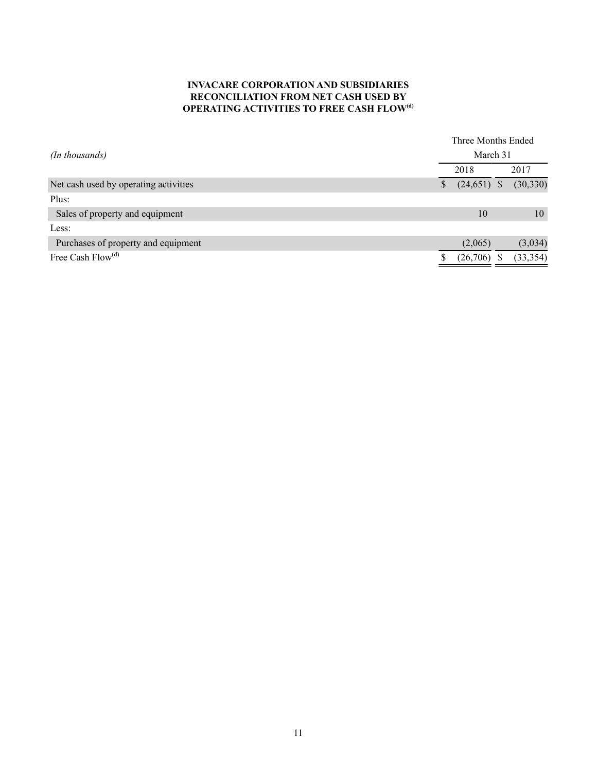#### **INVACARE CORPORATION AND SUBSIDIARIES RECONCILIATION FROM NET CASH USED BY OPERATING ACTIVITIES TO FREE CASH FLOW(d)**

|                                       | Three Months Ended |               |  |           |  |  |  |
|---------------------------------------|--------------------|---------------|--|-----------|--|--|--|
| (In thousands)                        |                    | March 31      |  |           |  |  |  |
|                                       |                    | 2018          |  | 2017      |  |  |  |
| Net cash used by operating activities |                    | $(24,651)$ \$ |  | (30, 330) |  |  |  |
| Plus:                                 |                    |               |  |           |  |  |  |
| Sales of property and equipment       |                    | 10            |  | 10        |  |  |  |
| Less:                                 |                    |               |  |           |  |  |  |
| Purchases of property and equipment   |                    | (2,065)       |  | (3,034)   |  |  |  |
| Free Cash $Flow(d)$                   |                    | (26,706)      |  | (33, 354) |  |  |  |
|                                       |                    |               |  |           |  |  |  |